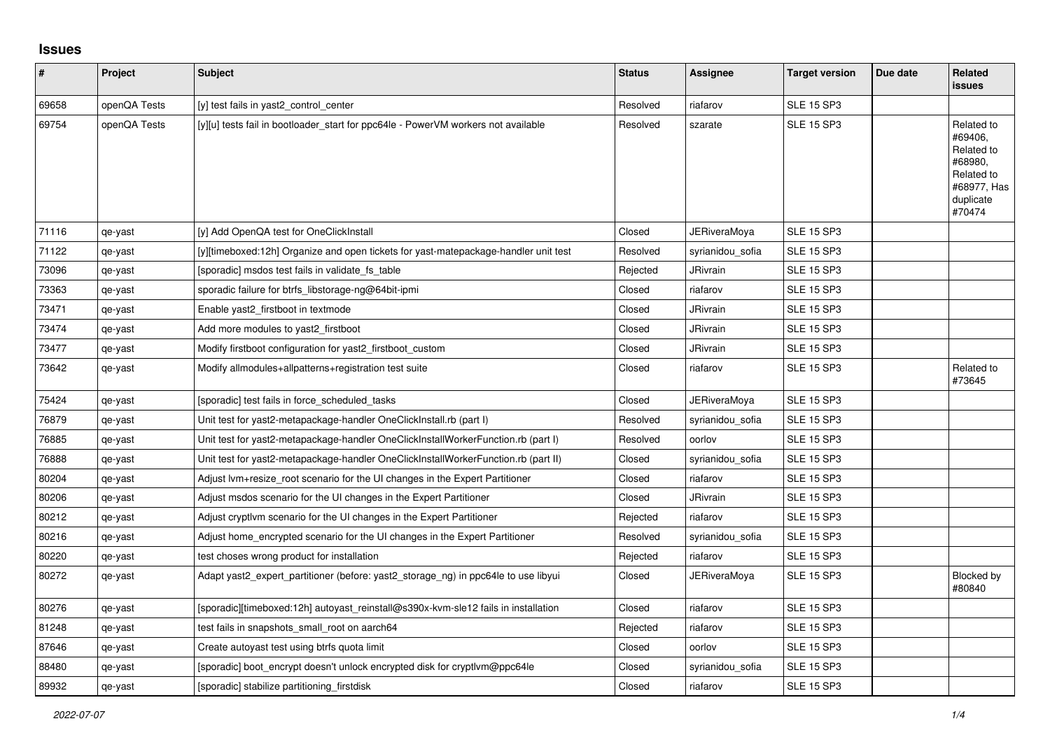## **Issues**

| #     | Project      | <b>Subject</b>                                                                      | <b>Status</b> | Assignee            | <b>Target version</b> | Due date | <b>Related</b><br><b>issues</b>                                                                    |
|-------|--------------|-------------------------------------------------------------------------------------|---------------|---------------------|-----------------------|----------|----------------------------------------------------------------------------------------------------|
| 69658 | openQA Tests | [y] test fails in yast2_control_center                                              | Resolved      | riafarov            | <b>SLE 15 SP3</b>     |          |                                                                                                    |
| 69754 | openQA Tests | [y][u] tests fail in bootloader_start for ppc64le - PowerVM workers not available   | Resolved      | szarate             | <b>SLE 15 SP3</b>     |          | Related to<br>#69406,<br>Related to<br>#68980,<br>Related to<br>#68977, Has<br>duplicate<br>#70474 |
| 71116 | qe-yast      | [y] Add OpenQA test for OneClickInstall                                             | Closed        | <b>JERiveraMoya</b> | <b>SLE 15 SP3</b>     |          |                                                                                                    |
| 71122 | qe-yast      | [y][timeboxed:12h] Organize and open tickets for yast-matepackage-handler unit test | Resolved      | syrianidou sofia    | <b>SLE 15 SP3</b>     |          |                                                                                                    |
| 73096 | qe-yast      | [sporadic] msdos test fails in validate fs table                                    | Rejected      | <b>JRivrain</b>     | <b>SLE 15 SP3</b>     |          |                                                                                                    |
| 73363 | qe-yast      | sporadic failure for btrfs libstorage-ng@64bit-ipmi                                 | Closed        | riafarov            | <b>SLE 15 SP3</b>     |          |                                                                                                    |
| 73471 | qe-yast      | Enable yast2 firstboot in textmode                                                  | Closed        | JRivrain            | <b>SLE 15 SP3</b>     |          |                                                                                                    |
| 73474 | qe-yast      | Add more modules to yast2 firstboot                                                 | Closed        | <b>JRivrain</b>     | <b>SLE 15 SP3</b>     |          |                                                                                                    |
| 73477 | qe-yast      | Modify firstboot configuration for yast2 firstboot custom                           | Closed        | <b>JRivrain</b>     | <b>SLE 15 SP3</b>     |          |                                                                                                    |
| 73642 | qe-yast      | Modify allmodules+allpatterns+registration test suite                               | Closed        | riafarov            | <b>SLE 15 SP3</b>     |          | Related to<br>#73645                                                                               |
| 75424 | qe-yast      | [sporadic] test fails in force scheduled tasks                                      | Closed        | <b>JERiveraMoya</b> | <b>SLE 15 SP3</b>     |          |                                                                                                    |
| 76879 | qe-yast      | Unit test for yast2-metapackage-handler OneClickInstall.rb (part I)                 | Resolved      | syrianidou sofia    | <b>SLE 15 SP3</b>     |          |                                                                                                    |
| 76885 | qe-yast      | Unit test for yast2-metapackage-handler OneClickInstallWorkerFunction.rb (part I)   | Resolved      | oorlov              | <b>SLE 15 SP3</b>     |          |                                                                                                    |
| 76888 | qe-yast      | Unit test for yast2-metapackage-handler OneClickInstallWorkerFunction.rb (part II)  | Closed        | syrianidou_sofia    | <b>SLE 15 SP3</b>     |          |                                                                                                    |
| 80204 | qe-yast      | Adjust lym+resize root scenario for the UI changes in the Expert Partitioner        | Closed        | riafarov            | <b>SLE 15 SP3</b>     |          |                                                                                                    |
| 80206 | qe-yast      | Adjust msdos scenario for the UI changes in the Expert Partitioner                  | Closed        | <b>JRivrain</b>     | <b>SLE 15 SP3</b>     |          |                                                                                                    |
| 80212 | qe-yast      | Adjust cryptivm scenario for the UI changes in the Expert Partitioner               | Rejected      | riafarov            | <b>SLE 15 SP3</b>     |          |                                                                                                    |
| 80216 | qe-yast      | Adjust home encrypted scenario for the UI changes in the Expert Partitioner         | Resolved      | syrianidou sofia    | <b>SLE 15 SP3</b>     |          |                                                                                                    |
| 80220 | qe-yast      | test choses wrong product for installation                                          | Rejected      | riafarov            | <b>SLE 15 SP3</b>     |          |                                                                                                    |
| 80272 | qe-yast      | Adapt yast2_expert_partitioner (before: yast2_storage_ng) in ppc64le to use libyui  | Closed        | JERiveraMoya        | <b>SLE 15 SP3</b>     |          | Blocked by<br>#80840                                                                               |
| 80276 | qe-yast      | [sporadic][timeboxed:12h] autoyast reinstall@s390x-kvm-sle12 fails in installation  | Closed        | riafarov            | <b>SLE 15 SP3</b>     |          |                                                                                                    |
| 81248 | qe-yast      | test fails in snapshots_small_root on aarch64                                       | Rejected      | riafarov            | <b>SLE 15 SP3</b>     |          |                                                                                                    |
| 87646 | qe-yast      | Create autoyast test using btrfs quota limit                                        | Closed        | oorlov              | <b>SLE 15 SP3</b>     |          |                                                                                                    |
| 88480 | qe-yast      | [sporadic] boot encrypt doesn't unlock encrypted disk for cryptlym@ppc64le          | Closed        | syrianidou sofia    | <b>SLE 15 SP3</b>     |          |                                                                                                    |
| 89932 | qe-yast      | [sporadic] stabilize partitioning firstdisk                                         | Closed        | riafarov            | <b>SLE 15 SP3</b>     |          |                                                                                                    |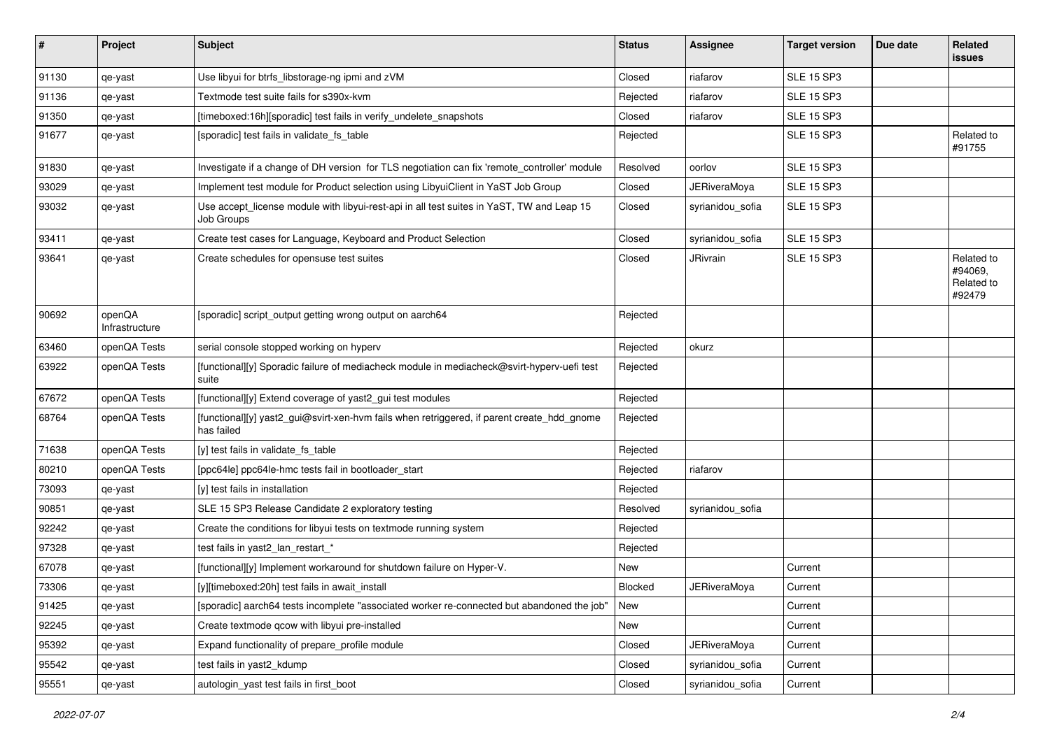| #     | Project                  | <b>Subject</b>                                                                                           | <b>Status</b>  | <b>Assignee</b>     | <b>Target version</b> | Due date | <b>Related</b><br><b>issues</b>               |
|-------|--------------------------|----------------------------------------------------------------------------------------------------------|----------------|---------------------|-----------------------|----------|-----------------------------------------------|
| 91130 | qe-yast                  | Use libyui for btrfs_libstorage-ng ipmi and zVM                                                          | Closed         | riafarov            | <b>SLE 15 SP3</b>     |          |                                               |
| 91136 | qe-yast                  | Textmode test suite fails for s390x-kvm                                                                  | Rejected       | riafarov            | <b>SLE 15 SP3</b>     |          |                                               |
| 91350 | qe-yast                  | [timeboxed:16h][sporadic] test fails in verify_undelete_snapshots                                        | Closed         | riafarov            | <b>SLE 15 SP3</b>     |          |                                               |
| 91677 | qe-yast                  | [sporadic] test fails in validate_fs_table                                                               | Rejected       |                     | <b>SLE 15 SP3</b>     |          | Related to<br>#91755                          |
| 91830 | qe-yast                  | Investigate if a change of DH version for TLS negotiation can fix 'remote_controller' module             | Resolved       | oorlov              | <b>SLE 15 SP3</b>     |          |                                               |
| 93029 | qe-yast                  | Implement test module for Product selection using LibyuiClient in YaST Job Group                         | Closed         | <b>JERiveraMoya</b> | <b>SLE 15 SP3</b>     |          |                                               |
| 93032 | qe-yast                  | Use accept_license module with libyui-rest-api in all test suites in YaST, TW and Leap 15<br>Job Groups  | Closed         | syrianidou_sofia    | <b>SLE 15 SP3</b>     |          |                                               |
| 93411 | qe-yast                  | Create test cases for Language, Keyboard and Product Selection                                           | Closed         | syrianidou_sofia    | <b>SLE 15 SP3</b>     |          |                                               |
| 93641 | qe-yast                  | Create schedules for opensuse test suites                                                                | Closed         | JRivrain            | <b>SLE 15 SP3</b>     |          | Related to<br>#94069,<br>Related to<br>#92479 |
| 90692 | openQA<br>Infrastructure | [sporadic] script_output getting wrong output on aarch64                                                 | Rejected       |                     |                       |          |                                               |
| 63460 | openQA Tests             | serial console stopped working on hyperv                                                                 | Rejected       | okurz               |                       |          |                                               |
| 63922 | openQA Tests             | [functional][y] Sporadic failure of mediacheck module in mediacheck@svirt-hyperv-uefi test<br>suite      | Rejected       |                     |                       |          |                                               |
| 67672 | openQA Tests             | [functional][y] Extend coverage of yast2_gui test modules                                                | Rejected       |                     |                       |          |                                               |
| 68764 | openQA Tests             | [functional][y] yast2_gui@svirt-xen-hvm fails when retriggered, if parent create_hdd_gnome<br>has failed | Rejected       |                     |                       |          |                                               |
| 71638 | openQA Tests             | [y] test fails in validate_fs_table                                                                      | Rejected       |                     |                       |          |                                               |
| 80210 | openQA Tests             | [ppc64le] ppc64le-hmc tests fail in bootloader start                                                     | Rejected       | riafarov            |                       |          |                                               |
| 73093 | qe-yast                  | [y] test fails in installation                                                                           | Rejected       |                     |                       |          |                                               |
| 90851 | qe-yast                  | SLE 15 SP3 Release Candidate 2 exploratory testing                                                       | Resolved       | syrianidou sofia    |                       |          |                                               |
| 92242 | qe-yast                  | Create the conditions for libyui tests on textmode running system                                        | Rejected       |                     |                       |          |                                               |
| 97328 | qe-yast                  | test fails in yast2 lan restart *                                                                        | Rejected       |                     |                       |          |                                               |
| 67078 | qe-yast                  | [functional][y] Implement workaround for shutdown failure on Hyper-V.                                    | New            |                     | Current               |          |                                               |
| 73306 | qe-yast                  | [y][timeboxed:20h] test fails in await install                                                           | <b>Blocked</b> | <b>JERiveraMoya</b> | Current               |          |                                               |
| 91425 | qe-yast                  | [sporadic] aarch64 tests incomplete "associated worker re-connected but abandoned the job"               | New            |                     | Current               |          |                                               |
| 92245 | qe-yast                  | Create textmode qcow with libyui pre-installed                                                           | New            |                     | Current               |          |                                               |
| 95392 | qe-yast                  | Expand functionality of prepare profile module                                                           | Closed         | <b>JERiveraMoya</b> | Current               |          |                                               |
| 95542 | qe-yast                  | test fails in yast2_kdump                                                                                | Closed         | syrianidou_sofia    | Current               |          |                                               |
| 95551 | qe-yast                  | autologin_yast test fails in first_boot                                                                  | Closed         | syrianidou_sofia    | Current               |          |                                               |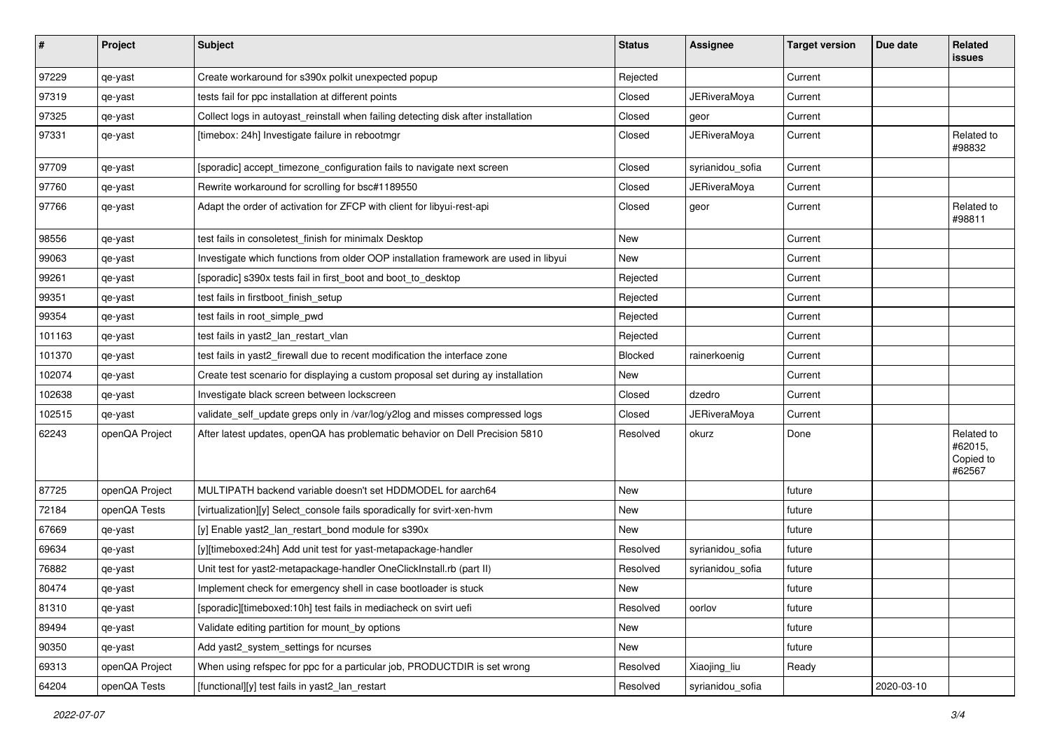| $\vert$ # | Project        | <b>Subject</b>                                                                       | <b>Status</b> | <b>Assignee</b>     | <b>Target version</b> | Due date   | Related<br><b>issues</b>                     |
|-----------|----------------|--------------------------------------------------------------------------------------|---------------|---------------------|-----------------------|------------|----------------------------------------------|
| 97229     | qe-yast        | Create workaround for s390x polkit unexpected popup                                  | Rejected      |                     | Current               |            |                                              |
| 97319     | qe-yast        | tests fail for ppc installation at different points                                  | Closed        | <b>JERiveraMoya</b> | Current               |            |                                              |
| 97325     | qe-yast        | Collect logs in autoyast_reinstall when failing detecting disk after installation    | Closed        | geor                | Current               |            |                                              |
| 97331     | qe-yast        | [timebox: 24h] Investigate failure in rebootmgr                                      | Closed        | <b>JERiveraMoya</b> | Current               |            | Related to<br>#98832                         |
| 97709     | qe-yast        | [sporadic] accept_timezone_configuration fails to navigate next screen               | Closed        | syrianidou_sofia    | Current               |            |                                              |
| 97760     | qe-yast        | Rewrite workaround for scrolling for bsc#1189550                                     | Closed        | <b>JERiveraMoya</b> | Current               |            |                                              |
| 97766     | qe-yast        | Adapt the order of activation for ZFCP with client for libyui-rest-api               | Closed        | geor                | Current               |            | Related to<br>#98811                         |
| 98556     | qe-yast        | test fails in consoletest finish for minimalx Desktop                                | New           |                     | Current               |            |                                              |
| 99063     | qe-yast        | Investigate which functions from older OOP installation framework are used in libyui | New           |                     | Current               |            |                                              |
| 99261     | qe-yast        | [sporadic] s390x tests fail in first_boot and boot_to_desktop                        | Rejected      |                     | Current               |            |                                              |
| 99351     | qe-yast        | test fails in firstboot finish setup                                                 | Rejected      |                     | Current               |            |                                              |
| 99354     | qe-yast        | test fails in root_simple_pwd                                                        | Rejected      |                     | Current               |            |                                              |
| 101163    | qe-yast        | test fails in yast2_lan_restart_vlan                                                 | Rejected      |                     | Current               |            |                                              |
| 101370    | qe-yast        | test fails in yast2_firewall due to recent modification the interface zone           | Blocked       | rainerkoenig        | Current               |            |                                              |
| 102074    | qe-yast        | Create test scenario for displaying a custom proposal set during ay installation     | New           |                     | Current               |            |                                              |
| 102638    | qe-yast        | Investigate black screen between lockscreen                                          | Closed        | dzedro              | Current               |            |                                              |
| 102515    | qe-yast        | validate_self_update greps only in /var/log/y2log and misses compressed logs         | Closed        | JERiveraMoya        | Current               |            |                                              |
| 62243     | openQA Project | After latest updates, openQA has problematic behavior on Dell Precision 5810         | Resolved      | okurz               | Done                  |            | Related to<br>#62015,<br>Copied to<br>#62567 |
| 87725     | openQA Project | MULTIPATH backend variable doesn't set HDDMODEL for aarch64                          | <b>New</b>    |                     | future                |            |                                              |
| 72184     | openQA Tests   | [virtualization][y] Select_console fails sporadically for svirt-xen-hvm              | New           |                     | future                |            |                                              |
| 67669     | qe-yast        | [y] Enable yast2_lan_restart_bond module for s390x                                   | New           |                     | future                |            |                                              |
| 69634     | qe-yast        | [y][timeboxed:24h] Add unit test for yast-metapackage-handler                        | Resolved      | syrianidou_sofia    | future                |            |                                              |
| 76882     | qe-yast        | Unit test for yast2-metapackage-handler OneClickInstall.rb (part II)                 | Resolved      | syrianidou_sofia    | future                |            |                                              |
| 80474     | qe-yast        | Implement check for emergency shell in case bootloader is stuck                      | New           |                     | future                |            |                                              |
| 81310     | qe-yast        | [sporadic][timeboxed:10h] test fails in mediacheck on svirt uefi                     | Resolved      | oorlov              | future                |            |                                              |
| 89494     | qe-yast        | Validate editing partition for mount_by options                                      | New           |                     | future                |            |                                              |
| 90350     | qe-yast        | Add yast2_system_settings for ncurses                                                | New           |                     | future                |            |                                              |
| 69313     | openQA Project | When using refspec for ppc for a particular job, PRODUCTDIR is set wrong             | Resolved      | Xiaojing_liu        | Ready                 |            |                                              |
| 64204     | openQA Tests   | [functional][y] test fails in yast2_lan_restart                                      | Resolved      | syrianidou_sofia    |                       | 2020-03-10 |                                              |